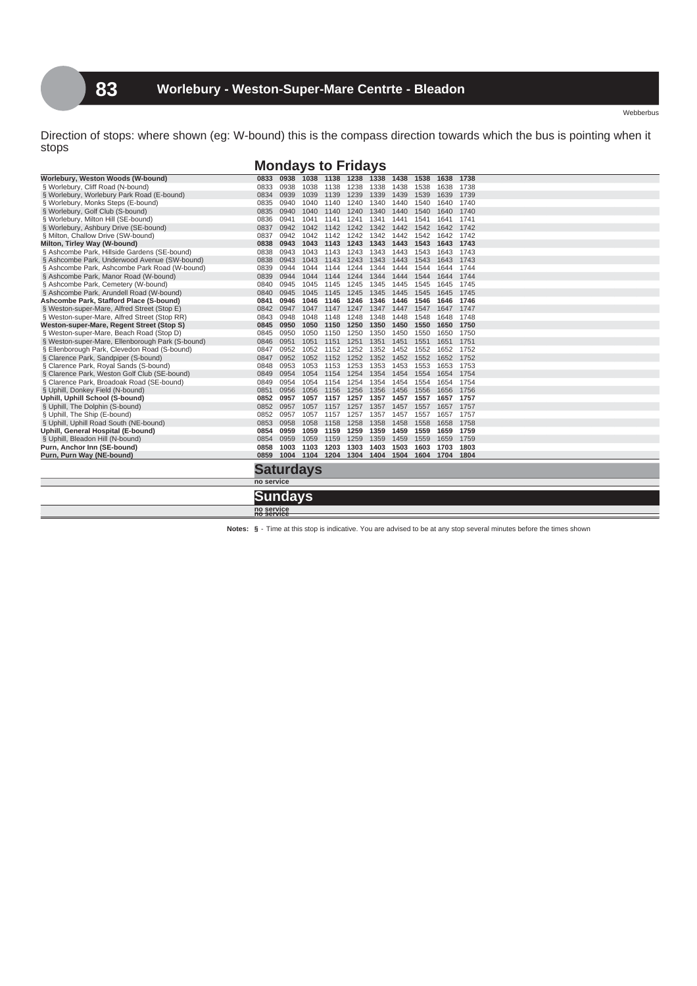Direction of stops: where shown (eg: W-bound) this is the compass direction towards which the bus is pointing when it stops

## **Mondays to Fridays**

| § Worlebury, Cliff Road (N-bound)<br>0833<br>0938<br>1138<br>1238<br>1338<br>1438<br>1538<br>1638<br>1738<br>1038<br>§ Worlebury, Worlebury Park Road (E-bound)<br>0834<br>0939<br>1039<br>1139<br>1239<br>1339<br>1439<br>1539<br>1639<br>1739<br>§ Worlebury, Monks Steps (E-bound)<br>0940<br>1240<br>1740<br>0835<br>1040<br>1140<br>1340<br>1440<br>1540<br>1640<br>§ Worlebury, Golf Club (S-bound)<br>0835<br>0940<br>1240<br>1340<br>1440<br>1540<br>1640<br>1740<br>1040<br>1140<br>0836<br>0941<br>1241<br>1741<br>§ Worlebury, Milton Hill (SE-bound)<br>1041<br>1141<br>1341<br>1441<br>1541<br>1641<br>§ Worlebury, Ashbury Drive (SE-bound)<br>0837<br>0942<br>1042<br>1142<br>1242<br>1342<br>1442 1542<br>1642<br>1742<br>§ Milton, Challow Drive (SW-bound)<br>0837<br>0942<br>1242<br>1342<br>1442<br>1542<br>1742<br>1042<br>1142<br>1642<br>0838<br>0943<br>1243<br>1343<br>1543<br>1643<br>1743<br>Milton, Tirley Way (W-bound)<br>1043<br>1143<br>1443<br>§ Ashcombe Park, Hillside Gardens (SE-bound)<br>0838<br>0943<br>1043<br>1143<br>1243<br>1343<br>1443<br>1543<br>1643<br>1743<br>§ Ashcombe Park, Underwood Avenue (SW-bound)<br>0838<br>0943<br>1043<br>1143<br>1243<br>1343<br>1443<br>1543<br>1643<br>1743<br>1744<br>§ Ashcombe Park, Ashcombe Park Road (W-bound)<br>0839<br>0944<br>1044<br>1244<br>1344<br>1444<br>1544<br>1644<br>1144<br>0839<br>0944<br>1044<br>1244<br>1344<br>1444<br>1544<br>1644<br>1744<br>§ Ashcombe Park, Manor Road (W-bound)<br>1144<br>1745<br>§ Ashcombe Park, Cemetery (W-bound)<br>0840<br>0945<br>1045<br>1245<br>1345<br>1445<br>1545<br>1645<br>1145<br>§ Ashcombe Park, Arundell Road (W-bound)<br>0840<br>0945<br>1045<br>1145<br>1245<br>1345 1445<br>1545<br>1645<br>1745<br>Ashcombe Park, Stafford Place (S-bound)<br>0946<br>1246<br>1346<br>1446<br>1546<br>1646<br>1746<br>0841<br>1046<br>1146<br>§ Weston-super-Mare, Alfred Street (Stop E)<br>0842 0947<br>1247<br>1547<br>1747<br>1047<br>1147<br>1347<br>1447<br>1647<br>0948<br>1348<br>1548<br>1748<br>§ Weston-super-Mare, Alfred Street (Stop RR)<br>0843<br>1048<br>1148<br>1248<br>1448<br>1648<br>1350 1450<br>1550 1650<br>1750<br>0845<br>0950<br>1050 1150 1250<br>Weston-super-Mare, Regent Street (Stop S)<br>§ Weston-super-Mare, Beach Road (Stop D)<br>0950<br>1050<br>1150<br>1250<br>1350<br>1450<br>1550<br>1650<br>1750<br>0845<br>§ Weston-super-Mare, Ellenborough Park (S-bound)<br>0846<br>0951<br>1051<br>1251<br>1351<br>1451<br>1551<br>1651<br>1751<br>1151<br>§ Ellenborough Park, Clevedon Road (S-bound)<br>0952<br>1252<br>1552<br>1752<br>0847<br>1052<br>1152<br>1352<br>1452<br>1652<br>0952<br>1252<br>1752<br>§ Clarence Park, Sandpiper (S-bound)<br>0847<br>1052<br>1152<br>1352<br>1452<br>1552<br>1652<br>1253<br>1753<br>§ Clarence Park, Royal Sands (S-bound)<br>0848<br>0953<br>1053<br>1153<br>1353<br>1453<br>1553<br>1653<br>§ Clarence Park, Weston Golf Club (SE-bound)<br>0954<br>1254<br>1354<br>1554<br>1654<br>1754<br>0849<br>1054<br>1154<br>1454<br>0954<br>1254<br>1554<br>1654<br>1754<br>§ Clarence Park, Broadoak Road (SE-bound)<br>0849<br>1054<br>1154<br>1354<br>1454<br>0851<br>0956<br>1256<br>1356<br>1456<br>1556<br>1756<br>§ Uphill, Donkey Field (N-bound)<br>1056<br>1156<br>1656<br>Uphill, Uphill School (S-bound)<br>0852<br>0957<br>1057<br>1257<br>1357<br>1457<br>1557<br>1657<br>1757<br>1157<br>§ Uphill, The Dolphin (S-bound)<br>0852<br>0957<br>1257<br>1357<br>1557<br>1657<br>1757<br>1057<br>1157<br>1457<br>§ Uphill, The Ship (E-bound)<br>0852<br>0957<br>1257<br>1357<br>1557<br>1657<br>1757<br>1057<br>1157<br>1457<br>1258<br>1758<br>§ Uphill, Uphill Road South (NE-bound)<br>0853<br>0958<br>1058<br>1158<br>1358<br>1458<br>1558<br>1658<br>0959<br>1059<br>1259<br>1459<br>1559<br>1659<br>1759<br>Uphill, General Hospital (E-bound)<br>0854<br>1159<br>1359<br>0959<br>1259<br>1359<br>1559<br>1659<br>1759<br>§ Uphill, Bleadon Hill (N-bound)<br>0854<br>1059<br>1159<br>1459<br>1003<br>1303<br>1603<br>1703<br>1803<br>0858<br>1103<br>1203<br>1403<br>1503<br>Purn, Anchor Inn (SE-bound)<br>Purn, Purn Way (NE-bound)<br>0859 1004<br>1104 1204 1304<br>1404 1504<br>1604 1704<br>1804<br><b>Saturdays</b><br>no service<br><u>Sundays</u><br>no service<br>no service | Worlebury, Weston Woods (W-bound) | 0833 | 0938 | 1038 | 1138 | 1238 | 1338 | 1438 | 1538 | 1638 | 1738 |
|--------------------------------------------------------------------------------------------------------------------------------------------------------------------------------------------------------------------------------------------------------------------------------------------------------------------------------------------------------------------------------------------------------------------------------------------------------------------------------------------------------------------------------------------------------------------------------------------------------------------------------------------------------------------------------------------------------------------------------------------------------------------------------------------------------------------------------------------------------------------------------------------------------------------------------------------------------------------------------------------------------------------------------------------------------------------------------------------------------------------------------------------------------------------------------------------------------------------------------------------------------------------------------------------------------------------------------------------------------------------------------------------------------------------------------------------------------------------------------------------------------------------------------------------------------------------------------------------------------------------------------------------------------------------------------------------------------------------------------------------------------------------------------------------------------------------------------------------------------------------------------------------------------------------------------------------------------------------------------------------------------------------------------------------------------------------------------------------------------------------------------------------------------------------------------------------------------------------------------------------------------------------------------------------------------------------------------------------------------------------------------------------------------------------------------------------------------------------------------------------------------------------------------------------------------------------------------------------------------------------------------------------------------------------------------------------------------------------------------------------------------------------------------------------------------------------------------------------------------------------------------------------------------------------------------------------------------------------------------------------------------------------------------------------------------------------------------------------------------------------------------------------------------------------------------------------------------------------------------------------------------------------------------------------------------------------------------------------------------------------------------------------------------------------------------------------------------------------------------------------------------------------------------------------------------------------------------------------------------------------------------------------------------------------------------------------------------------------------------------------------------------------------------------------------------------------------------------------------------------------------------------------------------------------------------------------------------------------------------------------------------------------------------------------------------------------------------------------------------------------------------------------------------------------------------------------------------------------------------------------------------------------------------------------------------------------------|-----------------------------------|------|------|------|------|------|------|------|------|------|------|
|                                                                                                                                                                                                                                                                                                                                                                                                                                                                                                                                                                                                                                                                                                                                                                                                                                                                                                                                                                                                                                                                                                                                                                                                                                                                                                                                                                                                                                                                                                                                                                                                                                                                                                                                                                                                                                                                                                                                                                                                                                                                                                                                                                                                                                                                                                                                                                                                                                                                                                                                                                                                                                                                                                                                                                                                                                                                                                                                                                                                                                                                                                                                                                                                                                                                                                                                                                                                                                                                                                                                                                                                                                                                                                                                                                                                                                                                                                                                                                                                                                                                                                                                                                                                                                                                                                                          |                                   |      |      |      |      |      |      |      |      |      |      |
|                                                                                                                                                                                                                                                                                                                                                                                                                                                                                                                                                                                                                                                                                                                                                                                                                                                                                                                                                                                                                                                                                                                                                                                                                                                                                                                                                                                                                                                                                                                                                                                                                                                                                                                                                                                                                                                                                                                                                                                                                                                                                                                                                                                                                                                                                                                                                                                                                                                                                                                                                                                                                                                                                                                                                                                                                                                                                                                                                                                                                                                                                                                                                                                                                                                                                                                                                                                                                                                                                                                                                                                                                                                                                                                                                                                                                                                                                                                                                                                                                                                                                                                                                                                                                                                                                                                          |                                   |      |      |      |      |      |      |      |      |      |      |
|                                                                                                                                                                                                                                                                                                                                                                                                                                                                                                                                                                                                                                                                                                                                                                                                                                                                                                                                                                                                                                                                                                                                                                                                                                                                                                                                                                                                                                                                                                                                                                                                                                                                                                                                                                                                                                                                                                                                                                                                                                                                                                                                                                                                                                                                                                                                                                                                                                                                                                                                                                                                                                                                                                                                                                                                                                                                                                                                                                                                                                                                                                                                                                                                                                                                                                                                                                                                                                                                                                                                                                                                                                                                                                                                                                                                                                                                                                                                                                                                                                                                                                                                                                                                                                                                                                                          |                                   |      |      |      |      |      |      |      |      |      |      |
|                                                                                                                                                                                                                                                                                                                                                                                                                                                                                                                                                                                                                                                                                                                                                                                                                                                                                                                                                                                                                                                                                                                                                                                                                                                                                                                                                                                                                                                                                                                                                                                                                                                                                                                                                                                                                                                                                                                                                                                                                                                                                                                                                                                                                                                                                                                                                                                                                                                                                                                                                                                                                                                                                                                                                                                                                                                                                                                                                                                                                                                                                                                                                                                                                                                                                                                                                                                                                                                                                                                                                                                                                                                                                                                                                                                                                                                                                                                                                                                                                                                                                                                                                                                                                                                                                                                          |                                   |      |      |      |      |      |      |      |      |      |      |
|                                                                                                                                                                                                                                                                                                                                                                                                                                                                                                                                                                                                                                                                                                                                                                                                                                                                                                                                                                                                                                                                                                                                                                                                                                                                                                                                                                                                                                                                                                                                                                                                                                                                                                                                                                                                                                                                                                                                                                                                                                                                                                                                                                                                                                                                                                                                                                                                                                                                                                                                                                                                                                                                                                                                                                                                                                                                                                                                                                                                                                                                                                                                                                                                                                                                                                                                                                                                                                                                                                                                                                                                                                                                                                                                                                                                                                                                                                                                                                                                                                                                                                                                                                                                                                                                                                                          |                                   |      |      |      |      |      |      |      |      |      |      |
|                                                                                                                                                                                                                                                                                                                                                                                                                                                                                                                                                                                                                                                                                                                                                                                                                                                                                                                                                                                                                                                                                                                                                                                                                                                                                                                                                                                                                                                                                                                                                                                                                                                                                                                                                                                                                                                                                                                                                                                                                                                                                                                                                                                                                                                                                                                                                                                                                                                                                                                                                                                                                                                                                                                                                                                                                                                                                                                                                                                                                                                                                                                                                                                                                                                                                                                                                                                                                                                                                                                                                                                                                                                                                                                                                                                                                                                                                                                                                                                                                                                                                                                                                                                                                                                                                                                          |                                   |      |      |      |      |      |      |      |      |      |      |
|                                                                                                                                                                                                                                                                                                                                                                                                                                                                                                                                                                                                                                                                                                                                                                                                                                                                                                                                                                                                                                                                                                                                                                                                                                                                                                                                                                                                                                                                                                                                                                                                                                                                                                                                                                                                                                                                                                                                                                                                                                                                                                                                                                                                                                                                                                                                                                                                                                                                                                                                                                                                                                                                                                                                                                                                                                                                                                                                                                                                                                                                                                                                                                                                                                                                                                                                                                                                                                                                                                                                                                                                                                                                                                                                                                                                                                                                                                                                                                                                                                                                                                                                                                                                                                                                                                                          |                                   |      |      |      |      |      |      |      |      |      |      |
|                                                                                                                                                                                                                                                                                                                                                                                                                                                                                                                                                                                                                                                                                                                                                                                                                                                                                                                                                                                                                                                                                                                                                                                                                                                                                                                                                                                                                                                                                                                                                                                                                                                                                                                                                                                                                                                                                                                                                                                                                                                                                                                                                                                                                                                                                                                                                                                                                                                                                                                                                                                                                                                                                                                                                                                                                                                                                                                                                                                                                                                                                                                                                                                                                                                                                                                                                                                                                                                                                                                                                                                                                                                                                                                                                                                                                                                                                                                                                                                                                                                                                                                                                                                                                                                                                                                          |                                   |      |      |      |      |      |      |      |      |      |      |
|                                                                                                                                                                                                                                                                                                                                                                                                                                                                                                                                                                                                                                                                                                                                                                                                                                                                                                                                                                                                                                                                                                                                                                                                                                                                                                                                                                                                                                                                                                                                                                                                                                                                                                                                                                                                                                                                                                                                                                                                                                                                                                                                                                                                                                                                                                                                                                                                                                                                                                                                                                                                                                                                                                                                                                                                                                                                                                                                                                                                                                                                                                                                                                                                                                                                                                                                                                                                                                                                                                                                                                                                                                                                                                                                                                                                                                                                                                                                                                                                                                                                                                                                                                                                                                                                                                                          |                                   |      |      |      |      |      |      |      |      |      |      |
|                                                                                                                                                                                                                                                                                                                                                                                                                                                                                                                                                                                                                                                                                                                                                                                                                                                                                                                                                                                                                                                                                                                                                                                                                                                                                                                                                                                                                                                                                                                                                                                                                                                                                                                                                                                                                                                                                                                                                                                                                                                                                                                                                                                                                                                                                                                                                                                                                                                                                                                                                                                                                                                                                                                                                                                                                                                                                                                                                                                                                                                                                                                                                                                                                                                                                                                                                                                                                                                                                                                                                                                                                                                                                                                                                                                                                                                                                                                                                                                                                                                                                                                                                                                                                                                                                                                          |                                   |      |      |      |      |      |      |      |      |      |      |
|                                                                                                                                                                                                                                                                                                                                                                                                                                                                                                                                                                                                                                                                                                                                                                                                                                                                                                                                                                                                                                                                                                                                                                                                                                                                                                                                                                                                                                                                                                                                                                                                                                                                                                                                                                                                                                                                                                                                                                                                                                                                                                                                                                                                                                                                                                                                                                                                                                                                                                                                                                                                                                                                                                                                                                                                                                                                                                                                                                                                                                                                                                                                                                                                                                                                                                                                                                                                                                                                                                                                                                                                                                                                                                                                                                                                                                                                                                                                                                                                                                                                                                                                                                                                                                                                                                                          |                                   |      |      |      |      |      |      |      |      |      |      |
|                                                                                                                                                                                                                                                                                                                                                                                                                                                                                                                                                                                                                                                                                                                                                                                                                                                                                                                                                                                                                                                                                                                                                                                                                                                                                                                                                                                                                                                                                                                                                                                                                                                                                                                                                                                                                                                                                                                                                                                                                                                                                                                                                                                                                                                                                                                                                                                                                                                                                                                                                                                                                                                                                                                                                                                                                                                                                                                                                                                                                                                                                                                                                                                                                                                                                                                                                                                                                                                                                                                                                                                                                                                                                                                                                                                                                                                                                                                                                                                                                                                                                                                                                                                                                                                                                                                          |                                   |      |      |      |      |      |      |      |      |      |      |
|                                                                                                                                                                                                                                                                                                                                                                                                                                                                                                                                                                                                                                                                                                                                                                                                                                                                                                                                                                                                                                                                                                                                                                                                                                                                                                                                                                                                                                                                                                                                                                                                                                                                                                                                                                                                                                                                                                                                                                                                                                                                                                                                                                                                                                                                                                                                                                                                                                                                                                                                                                                                                                                                                                                                                                                                                                                                                                                                                                                                                                                                                                                                                                                                                                                                                                                                                                                                                                                                                                                                                                                                                                                                                                                                                                                                                                                                                                                                                                                                                                                                                                                                                                                                                                                                                                                          |                                   |      |      |      |      |      |      |      |      |      |      |
|                                                                                                                                                                                                                                                                                                                                                                                                                                                                                                                                                                                                                                                                                                                                                                                                                                                                                                                                                                                                                                                                                                                                                                                                                                                                                                                                                                                                                                                                                                                                                                                                                                                                                                                                                                                                                                                                                                                                                                                                                                                                                                                                                                                                                                                                                                                                                                                                                                                                                                                                                                                                                                                                                                                                                                                                                                                                                                                                                                                                                                                                                                                                                                                                                                                                                                                                                                                                                                                                                                                                                                                                                                                                                                                                                                                                                                                                                                                                                                                                                                                                                                                                                                                                                                                                                                                          |                                   |      |      |      |      |      |      |      |      |      |      |
|                                                                                                                                                                                                                                                                                                                                                                                                                                                                                                                                                                                                                                                                                                                                                                                                                                                                                                                                                                                                                                                                                                                                                                                                                                                                                                                                                                                                                                                                                                                                                                                                                                                                                                                                                                                                                                                                                                                                                                                                                                                                                                                                                                                                                                                                                                                                                                                                                                                                                                                                                                                                                                                                                                                                                                                                                                                                                                                                                                                                                                                                                                                                                                                                                                                                                                                                                                                                                                                                                                                                                                                                                                                                                                                                                                                                                                                                                                                                                                                                                                                                                                                                                                                                                                                                                                                          |                                   |      |      |      |      |      |      |      |      |      |      |
|                                                                                                                                                                                                                                                                                                                                                                                                                                                                                                                                                                                                                                                                                                                                                                                                                                                                                                                                                                                                                                                                                                                                                                                                                                                                                                                                                                                                                                                                                                                                                                                                                                                                                                                                                                                                                                                                                                                                                                                                                                                                                                                                                                                                                                                                                                                                                                                                                                                                                                                                                                                                                                                                                                                                                                                                                                                                                                                                                                                                                                                                                                                                                                                                                                                                                                                                                                                                                                                                                                                                                                                                                                                                                                                                                                                                                                                                                                                                                                                                                                                                                                                                                                                                                                                                                                                          |                                   |      |      |      |      |      |      |      |      |      |      |
|                                                                                                                                                                                                                                                                                                                                                                                                                                                                                                                                                                                                                                                                                                                                                                                                                                                                                                                                                                                                                                                                                                                                                                                                                                                                                                                                                                                                                                                                                                                                                                                                                                                                                                                                                                                                                                                                                                                                                                                                                                                                                                                                                                                                                                                                                                                                                                                                                                                                                                                                                                                                                                                                                                                                                                                                                                                                                                                                                                                                                                                                                                                                                                                                                                                                                                                                                                                                                                                                                                                                                                                                                                                                                                                                                                                                                                                                                                                                                                                                                                                                                                                                                                                                                                                                                                                          |                                   |      |      |      |      |      |      |      |      |      |      |
|                                                                                                                                                                                                                                                                                                                                                                                                                                                                                                                                                                                                                                                                                                                                                                                                                                                                                                                                                                                                                                                                                                                                                                                                                                                                                                                                                                                                                                                                                                                                                                                                                                                                                                                                                                                                                                                                                                                                                                                                                                                                                                                                                                                                                                                                                                                                                                                                                                                                                                                                                                                                                                                                                                                                                                                                                                                                                                                                                                                                                                                                                                                                                                                                                                                                                                                                                                                                                                                                                                                                                                                                                                                                                                                                                                                                                                                                                                                                                                                                                                                                                                                                                                                                                                                                                                                          |                                   |      |      |      |      |      |      |      |      |      |      |
|                                                                                                                                                                                                                                                                                                                                                                                                                                                                                                                                                                                                                                                                                                                                                                                                                                                                                                                                                                                                                                                                                                                                                                                                                                                                                                                                                                                                                                                                                                                                                                                                                                                                                                                                                                                                                                                                                                                                                                                                                                                                                                                                                                                                                                                                                                                                                                                                                                                                                                                                                                                                                                                                                                                                                                                                                                                                                                                                                                                                                                                                                                                                                                                                                                                                                                                                                                                                                                                                                                                                                                                                                                                                                                                                                                                                                                                                                                                                                                                                                                                                                                                                                                                                                                                                                                                          |                                   |      |      |      |      |      |      |      |      |      |      |
|                                                                                                                                                                                                                                                                                                                                                                                                                                                                                                                                                                                                                                                                                                                                                                                                                                                                                                                                                                                                                                                                                                                                                                                                                                                                                                                                                                                                                                                                                                                                                                                                                                                                                                                                                                                                                                                                                                                                                                                                                                                                                                                                                                                                                                                                                                                                                                                                                                                                                                                                                                                                                                                                                                                                                                                                                                                                                                                                                                                                                                                                                                                                                                                                                                                                                                                                                                                                                                                                                                                                                                                                                                                                                                                                                                                                                                                                                                                                                                                                                                                                                                                                                                                                                                                                                                                          |                                   |      |      |      |      |      |      |      |      |      |      |
|                                                                                                                                                                                                                                                                                                                                                                                                                                                                                                                                                                                                                                                                                                                                                                                                                                                                                                                                                                                                                                                                                                                                                                                                                                                                                                                                                                                                                                                                                                                                                                                                                                                                                                                                                                                                                                                                                                                                                                                                                                                                                                                                                                                                                                                                                                                                                                                                                                                                                                                                                                                                                                                                                                                                                                                                                                                                                                                                                                                                                                                                                                                                                                                                                                                                                                                                                                                                                                                                                                                                                                                                                                                                                                                                                                                                                                                                                                                                                                                                                                                                                                                                                                                                                                                                                                                          |                                   |      |      |      |      |      |      |      |      |      |      |
|                                                                                                                                                                                                                                                                                                                                                                                                                                                                                                                                                                                                                                                                                                                                                                                                                                                                                                                                                                                                                                                                                                                                                                                                                                                                                                                                                                                                                                                                                                                                                                                                                                                                                                                                                                                                                                                                                                                                                                                                                                                                                                                                                                                                                                                                                                                                                                                                                                                                                                                                                                                                                                                                                                                                                                                                                                                                                                                                                                                                                                                                                                                                                                                                                                                                                                                                                                                                                                                                                                                                                                                                                                                                                                                                                                                                                                                                                                                                                                                                                                                                                                                                                                                                                                                                                                                          |                                   |      |      |      |      |      |      |      |      |      |      |
|                                                                                                                                                                                                                                                                                                                                                                                                                                                                                                                                                                                                                                                                                                                                                                                                                                                                                                                                                                                                                                                                                                                                                                                                                                                                                                                                                                                                                                                                                                                                                                                                                                                                                                                                                                                                                                                                                                                                                                                                                                                                                                                                                                                                                                                                                                                                                                                                                                                                                                                                                                                                                                                                                                                                                                                                                                                                                                                                                                                                                                                                                                                                                                                                                                                                                                                                                                                                                                                                                                                                                                                                                                                                                                                                                                                                                                                                                                                                                                                                                                                                                                                                                                                                                                                                                                                          |                                   |      |      |      |      |      |      |      |      |      |      |
|                                                                                                                                                                                                                                                                                                                                                                                                                                                                                                                                                                                                                                                                                                                                                                                                                                                                                                                                                                                                                                                                                                                                                                                                                                                                                                                                                                                                                                                                                                                                                                                                                                                                                                                                                                                                                                                                                                                                                                                                                                                                                                                                                                                                                                                                                                                                                                                                                                                                                                                                                                                                                                                                                                                                                                                                                                                                                                                                                                                                                                                                                                                                                                                                                                                                                                                                                                                                                                                                                                                                                                                                                                                                                                                                                                                                                                                                                                                                                                                                                                                                                                                                                                                                                                                                                                                          |                                   |      |      |      |      |      |      |      |      |      |      |
|                                                                                                                                                                                                                                                                                                                                                                                                                                                                                                                                                                                                                                                                                                                                                                                                                                                                                                                                                                                                                                                                                                                                                                                                                                                                                                                                                                                                                                                                                                                                                                                                                                                                                                                                                                                                                                                                                                                                                                                                                                                                                                                                                                                                                                                                                                                                                                                                                                                                                                                                                                                                                                                                                                                                                                                                                                                                                                                                                                                                                                                                                                                                                                                                                                                                                                                                                                                                                                                                                                                                                                                                                                                                                                                                                                                                                                                                                                                                                                                                                                                                                                                                                                                                                                                                                                                          |                                   |      |      |      |      |      |      |      |      |      |      |
|                                                                                                                                                                                                                                                                                                                                                                                                                                                                                                                                                                                                                                                                                                                                                                                                                                                                                                                                                                                                                                                                                                                                                                                                                                                                                                                                                                                                                                                                                                                                                                                                                                                                                                                                                                                                                                                                                                                                                                                                                                                                                                                                                                                                                                                                                                                                                                                                                                                                                                                                                                                                                                                                                                                                                                                                                                                                                                                                                                                                                                                                                                                                                                                                                                                                                                                                                                                                                                                                                                                                                                                                                                                                                                                                                                                                                                                                                                                                                                                                                                                                                                                                                                                                                                                                                                                          |                                   |      |      |      |      |      |      |      |      |      |      |
|                                                                                                                                                                                                                                                                                                                                                                                                                                                                                                                                                                                                                                                                                                                                                                                                                                                                                                                                                                                                                                                                                                                                                                                                                                                                                                                                                                                                                                                                                                                                                                                                                                                                                                                                                                                                                                                                                                                                                                                                                                                                                                                                                                                                                                                                                                                                                                                                                                                                                                                                                                                                                                                                                                                                                                                                                                                                                                                                                                                                                                                                                                                                                                                                                                                                                                                                                                                                                                                                                                                                                                                                                                                                                                                                                                                                                                                                                                                                                                                                                                                                                                                                                                                                                                                                                                                          |                                   |      |      |      |      |      |      |      |      |      |      |
|                                                                                                                                                                                                                                                                                                                                                                                                                                                                                                                                                                                                                                                                                                                                                                                                                                                                                                                                                                                                                                                                                                                                                                                                                                                                                                                                                                                                                                                                                                                                                                                                                                                                                                                                                                                                                                                                                                                                                                                                                                                                                                                                                                                                                                                                                                                                                                                                                                                                                                                                                                                                                                                                                                                                                                                                                                                                                                                                                                                                                                                                                                                                                                                                                                                                                                                                                                                                                                                                                                                                                                                                                                                                                                                                                                                                                                                                                                                                                                                                                                                                                                                                                                                                                                                                                                                          |                                   |      |      |      |      |      |      |      |      |      |      |
|                                                                                                                                                                                                                                                                                                                                                                                                                                                                                                                                                                                                                                                                                                                                                                                                                                                                                                                                                                                                                                                                                                                                                                                                                                                                                                                                                                                                                                                                                                                                                                                                                                                                                                                                                                                                                                                                                                                                                                                                                                                                                                                                                                                                                                                                                                                                                                                                                                                                                                                                                                                                                                                                                                                                                                                                                                                                                                                                                                                                                                                                                                                                                                                                                                                                                                                                                                                                                                                                                                                                                                                                                                                                                                                                                                                                                                                                                                                                                                                                                                                                                                                                                                                                                                                                                                                          |                                   |      |      |      |      |      |      |      |      |      |      |
|                                                                                                                                                                                                                                                                                                                                                                                                                                                                                                                                                                                                                                                                                                                                                                                                                                                                                                                                                                                                                                                                                                                                                                                                                                                                                                                                                                                                                                                                                                                                                                                                                                                                                                                                                                                                                                                                                                                                                                                                                                                                                                                                                                                                                                                                                                                                                                                                                                                                                                                                                                                                                                                                                                                                                                                                                                                                                                                                                                                                                                                                                                                                                                                                                                                                                                                                                                                                                                                                                                                                                                                                                                                                                                                                                                                                                                                                                                                                                                                                                                                                                                                                                                                                                                                                                                                          |                                   |      |      |      |      |      |      |      |      |      |      |
|                                                                                                                                                                                                                                                                                                                                                                                                                                                                                                                                                                                                                                                                                                                                                                                                                                                                                                                                                                                                                                                                                                                                                                                                                                                                                                                                                                                                                                                                                                                                                                                                                                                                                                                                                                                                                                                                                                                                                                                                                                                                                                                                                                                                                                                                                                                                                                                                                                                                                                                                                                                                                                                                                                                                                                                                                                                                                                                                                                                                                                                                                                                                                                                                                                                                                                                                                                                                                                                                                                                                                                                                                                                                                                                                                                                                                                                                                                                                                                                                                                                                                                                                                                                                                                                                                                                          |                                   |      |      |      |      |      |      |      |      |      |      |
|                                                                                                                                                                                                                                                                                                                                                                                                                                                                                                                                                                                                                                                                                                                                                                                                                                                                                                                                                                                                                                                                                                                                                                                                                                                                                                                                                                                                                                                                                                                                                                                                                                                                                                                                                                                                                                                                                                                                                                                                                                                                                                                                                                                                                                                                                                                                                                                                                                                                                                                                                                                                                                                                                                                                                                                                                                                                                                                                                                                                                                                                                                                                                                                                                                                                                                                                                                                                                                                                                                                                                                                                                                                                                                                                                                                                                                                                                                                                                                                                                                                                                                                                                                                                                                                                                                                          |                                   |      |      |      |      |      |      |      |      |      |      |
|                                                                                                                                                                                                                                                                                                                                                                                                                                                                                                                                                                                                                                                                                                                                                                                                                                                                                                                                                                                                                                                                                                                                                                                                                                                                                                                                                                                                                                                                                                                                                                                                                                                                                                                                                                                                                                                                                                                                                                                                                                                                                                                                                                                                                                                                                                                                                                                                                                                                                                                                                                                                                                                                                                                                                                                                                                                                                                                                                                                                                                                                                                                                                                                                                                                                                                                                                                                                                                                                                                                                                                                                                                                                                                                                                                                                                                                                                                                                                                                                                                                                                                                                                                                                                                                                                                                          |                                   |      |      |      |      |      |      |      |      |      |      |
|                                                                                                                                                                                                                                                                                                                                                                                                                                                                                                                                                                                                                                                                                                                                                                                                                                                                                                                                                                                                                                                                                                                                                                                                                                                                                                                                                                                                                                                                                                                                                                                                                                                                                                                                                                                                                                                                                                                                                                                                                                                                                                                                                                                                                                                                                                                                                                                                                                                                                                                                                                                                                                                                                                                                                                                                                                                                                                                                                                                                                                                                                                                                                                                                                                                                                                                                                                                                                                                                                                                                                                                                                                                                                                                                                                                                                                                                                                                                                                                                                                                                                                                                                                                                                                                                                                                          |                                   |      |      |      |      |      |      |      |      |      |      |
|                                                                                                                                                                                                                                                                                                                                                                                                                                                                                                                                                                                                                                                                                                                                                                                                                                                                                                                                                                                                                                                                                                                                                                                                                                                                                                                                                                                                                                                                                                                                                                                                                                                                                                                                                                                                                                                                                                                                                                                                                                                                                                                                                                                                                                                                                                                                                                                                                                                                                                                                                                                                                                                                                                                                                                                                                                                                                                                                                                                                                                                                                                                                                                                                                                                                                                                                                                                                                                                                                                                                                                                                                                                                                                                                                                                                                                                                                                                                                                                                                                                                                                                                                                                                                                                                                                                          |                                   |      |      |      |      |      |      |      |      |      |      |
|                                                                                                                                                                                                                                                                                                                                                                                                                                                                                                                                                                                                                                                                                                                                                                                                                                                                                                                                                                                                                                                                                                                                                                                                                                                                                                                                                                                                                                                                                                                                                                                                                                                                                                                                                                                                                                                                                                                                                                                                                                                                                                                                                                                                                                                                                                                                                                                                                                                                                                                                                                                                                                                                                                                                                                                                                                                                                                                                                                                                                                                                                                                                                                                                                                                                                                                                                                                                                                                                                                                                                                                                                                                                                                                                                                                                                                                                                                                                                                                                                                                                                                                                                                                                                                                                                                                          |                                   |      |      |      |      |      |      |      |      |      |      |
|                                                                                                                                                                                                                                                                                                                                                                                                                                                                                                                                                                                                                                                                                                                                                                                                                                                                                                                                                                                                                                                                                                                                                                                                                                                                                                                                                                                                                                                                                                                                                                                                                                                                                                                                                                                                                                                                                                                                                                                                                                                                                                                                                                                                                                                                                                                                                                                                                                                                                                                                                                                                                                                                                                                                                                                                                                                                                                                                                                                                                                                                                                                                                                                                                                                                                                                                                                                                                                                                                                                                                                                                                                                                                                                                                                                                                                                                                                                                                                                                                                                                                                                                                                                                                                                                                                                          |                                   |      |      |      |      |      |      |      |      |      |      |
|                                                                                                                                                                                                                                                                                                                                                                                                                                                                                                                                                                                                                                                                                                                                                                                                                                                                                                                                                                                                                                                                                                                                                                                                                                                                                                                                                                                                                                                                                                                                                                                                                                                                                                                                                                                                                                                                                                                                                                                                                                                                                                                                                                                                                                                                                                                                                                                                                                                                                                                                                                                                                                                                                                                                                                                                                                                                                                                                                                                                                                                                                                                                                                                                                                                                                                                                                                                                                                                                                                                                                                                                                                                                                                                                                                                                                                                                                                                                                                                                                                                                                                                                                                                                                                                                                                                          |                                   |      |      |      |      |      |      |      |      |      |      |
|                                                                                                                                                                                                                                                                                                                                                                                                                                                                                                                                                                                                                                                                                                                                                                                                                                                                                                                                                                                                                                                                                                                                                                                                                                                                                                                                                                                                                                                                                                                                                                                                                                                                                                                                                                                                                                                                                                                                                                                                                                                                                                                                                                                                                                                                                                                                                                                                                                                                                                                                                                                                                                                                                                                                                                                                                                                                                                                                                                                                                                                                                                                                                                                                                                                                                                                                                                                                                                                                                                                                                                                                                                                                                                                                                                                                                                                                                                                                                                                                                                                                                                                                                                                                                                                                                                                          |                                   |      |      |      |      |      |      |      |      |      |      |

**Notes: §** - Time at this stop is indicative. You are advised to be at any stop several minutes before the times shown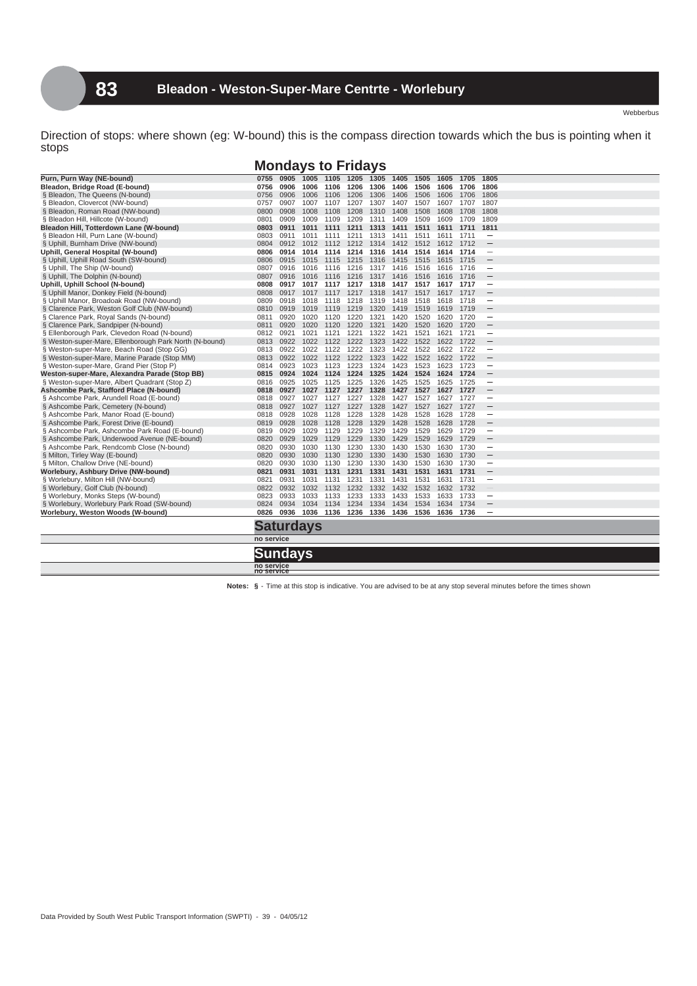Direction of stops: where shown (eg: W-bound) this is the compass direction towards which the bus is pointing when it stops

## **Mondays to Fridays**

| Purn, Purn Way (NE-bound)                              | 0755       | 0905             | 1005 | 1105           | 1205                                    | 1305 1405 |                | 1505      | 1605 | 1705 | 1805                            |  |
|--------------------------------------------------------|------------|------------------|------|----------------|-----------------------------------------|-----------|----------------|-----------|------|------|---------------------------------|--|
| Bleadon, Bridge Road (E-bound)                         | 0756       | 0906             | 1006 | 1106           | 1206                                    | 1306      | 1406           | 1506      | 1606 | 1706 | 1806                            |  |
| § Bleadon, The Queens (N-bound)                        | 0756       | 0906             | 1006 | 1106           | 1206                                    | 1306      | 1406           | 1506      | 1606 | 1706 | 1806                            |  |
| § Bleadon, Clovercot (NW-bound)                        | 0757       | 0907             | 1007 | 1107           | 1207                                    | 1307 1407 |                | 1507      | 1607 | 1707 | 1807                            |  |
| § Bleadon, Roman Road (NW-bound)                       | 0800       | 0908             | 1008 | 1108           | 1208                                    | 1310      | 1408           | 1508      | 1608 | 1708 | 1808                            |  |
| § Bleadon Hill, Hillcote (W-bound)                     | 0801       | 0909             | 1009 | 1109           | 1209                                    | 1311 1409 |                | 1509      | 1609 | 1709 | 1809                            |  |
| Bleadon Hill, Totterdown Lane (W-bound)                | 0803       | 0911             | 1011 | 1111           | 1211                                    | 1313 1411 |                | 1511      | 1611 | 1711 | 1811                            |  |
| § Bleadon Hill, Purn Lane (W-bound)                    | 0803       | 0911             |      | 1011 1111      | 1211                                    |           | 1313 1411 1511 |           | 1611 | 1711 | $\overline{\phantom{m}}$        |  |
| § Uphill, Burnham Drive (NW-bound)                     | 0804       | 0912             | 1012 | 1112           | 1212                                    | 1314 1412 |                | 1512      | 1612 | 1712 | $\qquad \qquad -$               |  |
| Uphill, General Hospital (W-bound)                     |            | 0806 0914        |      |                | 1014 1114 1214 1316 1414 1514 1614 1714 |           |                |           |      |      | $\overline{\phantom{m}}$        |  |
| § Uphill, Uphill Road South (SW-bound)                 | 0806       | 0915             | 1015 | 1115           | 1215                                    | 1316 1415 |                | 1515      | 1615 | 1715 | $\qquad \qquad -$               |  |
| § Uphill, The Ship (W-bound)                           | 0807       | 0916             | 1016 | 1116           | 1216 1317 1416                          |           |                | 1516      | 1616 | 1716 | $\overline{\phantom{m}}$        |  |
| § Uphill, The Dolphin (N-bound)                        | 0807       | 0916             | 1016 | 1116           | 1216                                    | 1317 1416 |                | 1516      | 1616 | 1716 | $\overline{\phantom{m}}$        |  |
| Uphill, Uphill School (N-bound)                        | 0808       | 0917             |      |                | 1017 1117 1217 1318 1417 1517 1617 1717 |           |                |           |      |      | $\overline{\phantom{m}}$        |  |
| § Uphill Manor, Donkey Field (N-bound)                 | 0808       | 0917             | 1017 | 1117           | 1217                                    | 1318 1417 |                | 1517      | 1617 | 1717 | $\overline{\phantom{m}}$        |  |
| § Uphill Manor, Broadoak Road (NW-bound)               | 0809       | 0918             | 1018 | 1118           | 1218                                    | 1319 1418 |                | 1518      | 1618 | 1718 | $\overline{\phantom{m}}$        |  |
| § Clarence Park, Weston Golf Club (NW-bound)           | 0810       | 0919             | 1019 | 1119           | 1219                                    | 1320 1419 |                | 1519      | 1619 | 1719 | $\hspace{0.1mm}-\hspace{0.1mm}$ |  |
| § Clarence Park, Royal Sands (N-bound)                 | 0811       | 0920             | 1020 | 1120           | 1220                                    | 1321      | 1420           | 1520      | 1620 | 1720 | $\qquad \qquad -$               |  |
| § Clarence Park, Sandpiper (N-bound)                   | 0811       | 0920             | 1020 | 1120           | 1220                                    | 1321      | 1420           | 1520      | 1620 | 1720 | $\overline{\phantom{m}}$        |  |
| § Ellenborough Park, Clevedon Road (N-bound)           | 0812       | 0921             | 1021 | 1121           | 1221                                    | 1322      | 1421           | 1521      | 1621 | 1721 |                                 |  |
| § Weston-super-Mare, Ellenborough Park North (N-bound) |            | 0813 0922        |      | 1022 1122 1222 |                                         | 1323      | 1422 1522      |           | 1622 | 1722 | $\overline{\phantom{0}}$        |  |
| § Weston-super-Mare, Beach Road (Stop GG)              |            | 0813 0922        | 1022 | 1122           | 1222                                    | 1323      | 1422           | 1522      | 1622 | 1722 | $\overline{\phantom{0}}$        |  |
| § Weston-super-Mare, Marine Parade (Stop MM)           |            | 0813 0922        |      | 1022 1122      | 1222                                    | 1323      | 1422           | 1522      | 1622 | 1722 | $\overline{\phantom{m}}$        |  |
| § Weston-super-Mare, Grand Pier (Stop P)               | 0814       | 0923             | 1023 | 1123           | 1223                                    | 1324 1423 |                | 1523      | 1623 | 1723 | $\overline{\phantom{m}}$        |  |
| Weston-super-Mare, Alexandra Parade (Stop BB)          | 0815       | 0924             |      | 1024 1124      | 1224                                    | 1325 1424 |                | 1524 1624 |      | 1724 | $\overline{\phantom{m}}$        |  |
| § Weston-super-Mare, Albert Quadrant (Stop Z)          | 0816 0925  |                  | 1025 | 1125           | 1225                                    | 1326      | 1425           | 1525      | 1625 | 1725 | $\overline{\phantom{m}}$        |  |
| Ashcombe Park, Stafford Place (N-bound)                | 0818 0927  |                  |      | 1027 1127 1227 |                                         |           | 1328 1427      | 1527 1627 |      | 1727 | $\qquad \qquad -$               |  |
| § Ashcombe Park, Arundell Road (E-bound)               | 0818 0927  |                  | 1027 | 1127           | 1227                                    | 1328      | 1427           | 1527      | 1627 | 1727 | $\overline{\phantom{m}}$        |  |
| § Ashcombe Park, Cemetery (N-bound)                    | 0818 0927  |                  |      | 1027 1127      | 1227                                    | 1328      | 1427           | 1527      | 1627 | 1727 | $\overline{\phantom{0}}$        |  |
| § Ashcombe Park, Manor Road (E-bound)                  | 0818 0928  |                  | 1028 | 1128           | 1228                                    | 1328      | 1428           | 1528      | 1628 | 1728 | $\overline{\phantom{m}}$        |  |
| § Ashcombe Park, Forest Drive (E-bound)                |            | 0819 0928        |      | 1028 1128      | 1228                                    | 1329      | 1428           | 1528      | 1628 | 1728 | $\qquad \qquad -$               |  |
| § Ashcombe Park, Ashcombe Park Road (E-bound)          |            | 0819 0929        | 1029 | 1129           | 1229                                    | 1329      | 1429           | 1529      | 1629 | 1729 | $\qquad \qquad -$               |  |
| § Ashcombe Park, Underwood Avenue (NE-bound)           |            | 0820 0929        | 1029 | 1129           | 1229                                    | 1330      | 1429           | 1529      | 1629 | 1729 | $\overline{\phantom{m}}$        |  |
| § Ashcombe Park, Rendcomb Close (N-bound)              | 0820       | 0930             | 1030 | 1130           | 1230                                    | 1330      | 1430           | 1530      | 1630 | 1730 | $\overline{\phantom{m}}$        |  |
| § Milton, Tirley Way (E-bound)                         |            | 0820 0930        |      | 1030 1130      | 1230                                    | 1330      | 1430           | 1530      | 1630 | 1730 | $\overline{\phantom{m}}$        |  |
| § Milton, Challow Drive (NE-bound)                     | 0820       | 0930             | 1030 | 1130           | 1230                                    | 1330      | 1430           | 1530      | 1630 | 1730 | $\overline{\phantom{m}}$        |  |
| Worlebury, Ashbury Drive (NW-bound)                    | 0821       | 0931             | 1031 | 1131           | 1231                                    | 1331      | 1431           | 1531      | 1631 | 1731 | $\overline{\phantom{m}}$        |  |
| § Worlebury, Milton Hill (NW-bound)                    | 0821       | 0931             | 1031 | 1131           | 1231                                    | 1331      | 1431           | 1531      | 1631 | 1731 | $\qquad \qquad -$               |  |
| § Worlebury, Golf Club (N-bound)                       | 0822       | 0932             | 1032 | 1132           | 1232                                    | 1332 1432 |                | 1532      | 1632 | 1732 | $\overline{\phantom{m}}$        |  |
| § Worlebury, Monks Steps (W-bound)                     | 0823       | 0933             | 1033 | 1133           | 1233                                    | 1333      | 1433           | 1533      | 1633 | 1733 | $\qquad \qquad -$               |  |
| § Worlebury, Worlebury Park Road (SW-bound)            |            | 0824 0934        |      | 1034 1134      | 1234                                    | 1334 1434 |                | 1534      | 1634 | 1734 | $\qquad \qquad -$               |  |
| Worlebury, Weston Woods (W-bound)                      |            | 0826 0936        |      |                | 1036 1136 1236 1336 1436 1536 1636 1736 |           |                |           |      |      | $\qquad \qquad -$               |  |
|                                                        |            |                  |      |                |                                         |           |                |           |      |      |                                 |  |
|                                                        |            | <b>Saturdays</b> |      |                |                                         |           |                |           |      |      |                                 |  |
|                                                        | no service |                  |      |                |                                         |           |                |           |      |      |                                 |  |
|                                                        |            |                  |      |                |                                         |           |                |           |      |      |                                 |  |
|                                                        |            | <b>Sundays</b>   |      |                |                                         |           |                |           |      |      |                                 |  |
|                                                        | no service |                  |      |                |                                         |           |                |           |      |      |                                 |  |
|                                                        | no service |                  |      |                |                                         |           |                |           |      |      |                                 |  |

**Notes: §** - Time at this stop is indicative. You are advised to be at any stop several minutes before the times shown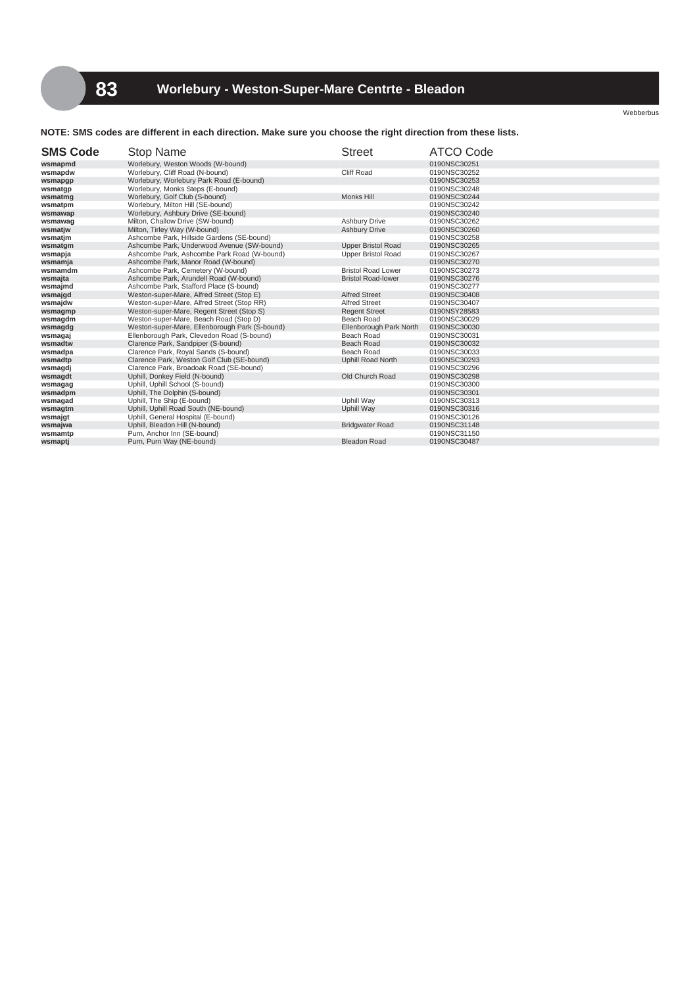**NOTE: SMS codes are different in each direction. Make sure you choose the right direction from these lists.**

| <b>SMS Code</b> | Stop Name                                      | <b>Street</b>             | ATCO Code    |
|-----------------|------------------------------------------------|---------------------------|--------------|
| wsmapmd         | Worlebury, Weston Woods (W-bound)              |                           | 0190NSC30251 |
| wsmapdw         | Worlebury, Cliff Road (N-bound)                | <b>Cliff Road</b>         | 0190NSC30252 |
| wsmapgp         | Worlebury, Worlebury Park Road (E-bound)       |                           | 0190NSC30253 |
| wsmatgp         | Worlebury, Monks Steps (E-bound)               |                           | 0190NSC30248 |
| wsmatmg         | Worlebury, Golf Club (S-bound)                 | Monks Hill                | 0190NSC30244 |
| wsmatpm         | Worlebury, Milton Hill (SE-bound)              |                           | 0190NSC30242 |
| wsmawap         | Worlebury, Ashbury Drive (SE-bound)            |                           | 0190NSC30240 |
| wsmawag         | Milton, Challow Drive (SW-bound)               | <b>Ashbury Drive</b>      | 0190NSC30262 |
| wsmatjw         | Milton, Tirley Way (W-bound)                   | <b>Ashbury Drive</b>      | 0190NSC30260 |
| wsmatjm         | Ashcombe Park, Hillside Gardens (SE-bound)     |                           | 0190NSC30258 |
| wsmatgm         | Ashcombe Park, Underwood Avenue (SW-bound)     | <b>Upper Bristol Road</b> | 0190NSC30265 |
| wsmapja         | Ashcombe Park, Ashcombe Park Road (W-bound)    | Upper Bristol Road        | 0190NSC30267 |
| wsmamja         | Ashcombe Park, Manor Road (W-bound)            |                           | 0190NSC30270 |
| wsmamdm         | Ashcombe Park, Cemetery (W-bound)              | <b>Bristol Road Lower</b> | 0190NSC30273 |
| wsmajta         | Ashcombe Park, Arundell Road (W-bound)         | <b>Bristol Road-lower</b> | 0190NSC30276 |
| wsmajmd         | Ashcombe Park, Stafford Place (S-bound)        |                           | 0190NSC30277 |
| wsmajgd         | Weston-super-Mare, Alfred Street (Stop E)      | <b>Alfred Street</b>      | 0190NSC30408 |
| wsmajdw         | Weston-super-Mare, Alfred Street (Stop RR)     | <b>Alfred Street</b>      | 0190NSC30407 |
| wsmagmp         | Weston-super-Mare, Regent Street (Stop S)      | <b>Regent Street</b>      | 0190NSY28583 |
| wsmagdm         | Weston-super-Mare, Beach Road (Stop D)         | Beach Road                | 0190NSC30029 |
| wsmagdg         | Weston-super-Mare, Ellenborough Park (S-bound) | Ellenborough Park North   | 0190NSC30030 |
| wsmagaj         | Ellenborough Park, Clevedon Road (S-bound)     | Beach Road                | 0190NSC30031 |
| wsmadtw         | Clarence Park, Sandpiper (S-bound)             | <b>Beach Road</b>         | 0190NSC30032 |
| wsmadpa         | Clarence Park, Royal Sands (S-bound)           | Beach Road                | 0190NSC30033 |
| wsmadtp         | Clarence Park, Weston Golf Club (SE-bound)     | Uphill Road North         | 0190NSC30293 |
| wsmagdj         | Clarence Park, Broadoak Road (SE-bound)        |                           | 0190NSC30296 |
| wsmagdt         | Uphill, Donkey Field (N-bound)                 | Old Church Road           | 0190NSC30298 |
| wsmagag         | Uphill, Uphill School (S-bound)                |                           | 0190NSC30300 |
| wsmadpm         | Uphill, The Dolphin (S-bound)                  |                           | 0190NSC30301 |
| wsmagad         | Uphill, The Ship (E-bound)                     | Uphill Way                | 0190NSC30313 |
| wsmagtm         | Uphill, Uphill Road South (NE-bound)           | Uphill Way                | 0190NSC30316 |
| wsmajgt         | Uphill, General Hospital (E-bound)             |                           | 0190NSC30126 |
| wsmajwa         | Uphill, Bleadon Hill (N-bound)                 | <b>Bridgwater Road</b>    | 0190NSC31148 |
| wsmamtp         | Purn, Anchor Inn (SE-bound)                    |                           | 0190NSC31150 |
| wsmaptj         | Purn, Purn Way (NE-bound)                      | Bleadon Road              | 0190NSC30487 |